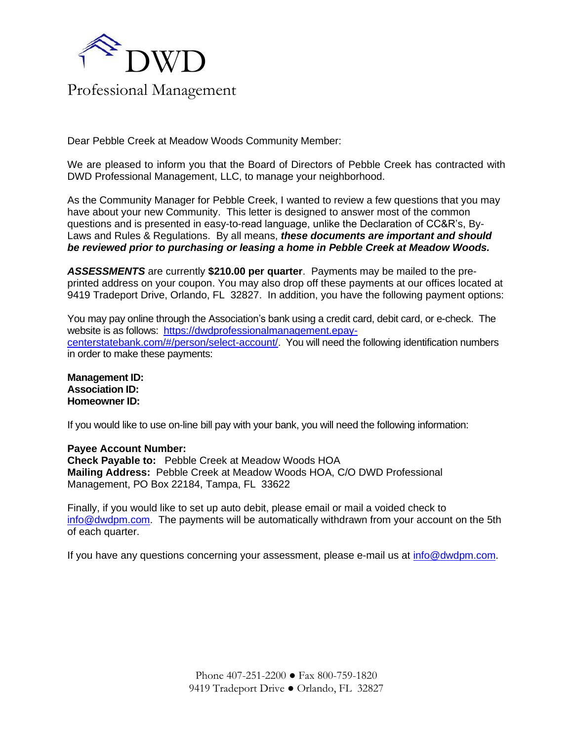

Dear Pebble Creek at Meadow Woods Community Member:

We are pleased to inform you that the Board of Directors of Pebble Creek has contracted with DWD Professional Management, LLC, to manage your neighborhood.

As the Community Manager for Pebble Creek, I wanted to review a few questions that you may have about your new Community. This letter is designed to answer most of the common questions and is presented in easy-to-read language, unlike the Declaration of CC&R's, By-Laws and Rules & Regulations. By all means, *these documents are important and should be reviewed prior to purchasing or leasing a home in Pebble Creek at Meadow Woods.*

*ASSESSMENTS* are currently **\$210.00 per quarter**. Payments may be mailed to the preprinted address on your coupon. You may also drop off these payments at our offices located at 9419 Tradeport Drive, Orlando, FL 32827. In addition, you have the following payment options:

You may pay online through the Association's bank using a credit card, debit card, or e-check. The website is as follows: [https://dwdprofessionalmanagement.epay](https://dwdprofessionalmanagement.epay-centerstatebank.com/#/person/select-account/)[centerstatebank.com/#/person/select-account/.](https://dwdprofessionalmanagement.epay-centerstatebank.com/#/person/select-account/) You will need the following identification numbers in order to make these payments:

**Management ID: Association ID: Homeowner ID:**

If you would like to use on-line bill pay with your bank, you will need the following information:

## **Payee Account Number:**

**Check Payable to:** Pebble Creek at Meadow Woods HOA **Mailing Address:** Pebble Creek at Meadow Woods HOA, C/O DWD Professional Management, PO Box 22184, Tampa, FL 33622

Finally, if you would like to set up auto debit, please email or mail a voided check to [info@dwdpm.com.](mailto:info@dwdpm.com) The payments will be automatically withdrawn from your account on the 5th of each quarter.

If you have any questions concerning your assessment, please e-mail us at [info@dwdpm.com.](mailto:info@dwdpm.com)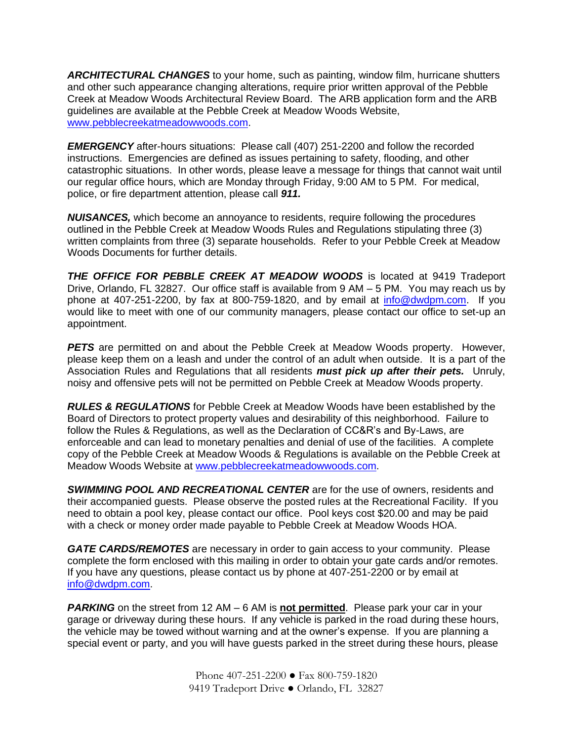*ARCHITECTURAL CHANGES* to your home, such as painting, window film, hurricane shutters and other such appearance changing alterations, require prior written approval of the Pebble Creek at Meadow Woods Architectural Review Board. The ARB application form and the ARB guidelines are available at the Pebble Creek at Meadow Woods Website, [www.pebblecreekatmeadowwoods.com.](http://www.pebblecreekatmeadowwoods.com/)

*EMERGENCY* after-hours situations: Please call (407) 251-2200 and follow the recorded instructions. Emergencies are defined as issues pertaining to safety, flooding, and other catastrophic situations. In other words, please leave a message for things that cannot wait until our regular office hours, which are Monday through Friday, 9:00 AM to 5 PM. For medical, police, or fire department attention, please call *911.*

*NUISANCES,* which become an annoyance to residents, require following the procedures outlined in the Pebble Creek at Meadow Woods Rules and Regulations stipulating three (3) written complaints from three (3) separate households. Refer to your Pebble Creek at Meadow Woods Documents for further details.

*THE OFFICE FOR PEBBLE CREEK AT MEADOW WOODS* is located at 9419 Tradeport Drive, Orlando, FL 32827. Our office staff is available from 9 AM – 5 PM. You may reach us by phone at 407-251-2200, by fax at 800-759-1820, and by email at [info@dwdpm.com.](mailto:info@dwdpm.com) If you would like to meet with one of our community managers, please contact our office to set-up an appointment.

**PETS** are permitted on and about the Pebble Creek at Meadow Woods property. However, please keep them on a leash and under the control of an adult when outside. It is a part of the Association Rules and Regulations that all residents *must pick up after their pets.* Unruly, noisy and offensive pets will not be permitted on Pebble Creek at Meadow Woods property.

*RULES & REGULATIONS* for Pebble Creek at Meadow Woods have been established by the Board of Directors to protect property values and desirability of this neighborhood. Failure to follow the Rules & Regulations, as well as the Declaration of CC&R's and By-Laws, are enforceable and can lead to monetary penalties and denial of use of the facilities. A complete copy of the Pebble Creek at Meadow Woods & Regulations is available on the Pebble Creek at Meadow Woods Website at [www.pebblecreekatmeadowwoods.com.](http://www.pebblecreekatmeadowwoods.com/)

*SWIMMING POOL AND RECREATIONAL CENTER* are for the use of owners, residents and their accompanied guests. Please observe the posted rules at the Recreational Facility. If you need to obtain a pool key, please contact our office. Pool keys cost \$20.00 and may be paid with a check or money order made payable to Pebble Creek at Meadow Woods HOA.

*GATE CARDS/REMOTES* are necessary in order to gain access to your community. Please complete the form enclosed with this mailing in order to obtain your gate cards and/or remotes. If you have any questions, please contact us by phone at 407-251-2200 or by email at [info@dwdpm.com.](mailto:info@dwdpm.com)

*PARKING* on the street from 12 AM – 6 AM is **not permitted**. Please park your car in your garage or driveway during these hours. If any vehicle is parked in the road during these hours, the vehicle may be towed without warning and at the owner's expense. If you are planning a special event or party, and you will have guests parked in the street during these hours, please

> Phone 407-251-2200 ● Fax 800-759-1820 9419 Tradeport Drive ● Orlando, FL 32827